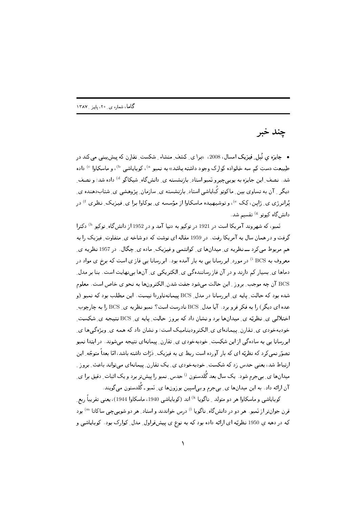چند خبر

• جایزہ ی نُبل ِ فیزیک امسال، 2008، «برا ی ِ کشف ِ منشاء ِ شکست ِ تقارن که پیش بینی می کند در طبیعت دستِ کم سه خانواده کوارک وجود داشته باشد» به نمبو <sup>۵</sup>)، کوبایاشی <sup>b)</sup>، و ماسکاوا <sup>c)</sup> داده شد. نصف ِ این جایزه به یوییچیرو نَمبو استاد ِ بازنشسته ی ِ دانش&اه ِ شیکاگو <sup>d)</sup> داده شد؛ و نصف ِ دیگر <sub>ن</sub> آن به تساوی بین ِ ماکوتو کُبایاشی استاد ِ بازنشسته ی ِ سازمان ِ پژوهشی ی ِ شتابدهنده ی ِ یُرانرژی ی ِ ژاپن، کِک <sup>e)</sup>، و توشیهیده ماسکاوا از مؤسسه ی ِ پوکاوا برا ی ِ فیزیک ِ نظری <sup>f )</sup> در دانش گاه کیوتو <sup>g)</sup> تقسیم شد.

نَمبو، که شهروند آمریکا است در 1921 در توکیو به دنیا آمد و در 1952 از دانشگاه ِ توکیو <sup>h)</sup> دکترا گرفت و در همان سال به آمریکا رفت. در 1959 مقاله ای نوشت که دو شاخه ی ِ متفاوت ِ فیزیک را به هم مربوط میکرد ـــ نظریه ی ِ میدانها ی ِ کوانتمی و فیزیک ِ ماده ی ِ چگال. در 1957 نظریه ی ِ معروف به BCS <sup>i)</sup> در مورد ِ ابررسانا یبی به بار آمده بود . ابررسانا یبی فاز ی است که برخ ی مواد در دماها ی ِ بسیار کم دارند و در آن فاز رسانندهگی ی ِ الکتریکی ی ِ آنها بی نهایت است. بنا بر مدل ِ BCS آن چه موجب ِ بروز - این حالت می شود جفت شدن ِ الکترونها به نحو ی خاص است. معلوم شده بود که حالت ِ پایه ی ِ ابر رسانا در مدل BCS پیمانهناوردا نیست. این مطلب بود که نمبو (و عده ای دیگر) را به فکر فرو برد. آیا مدل BCS نادرست است؟ نمبو نظریه ی BCS را به چارچوب ِ اختلالی ی ِ نظریّه ی ِ میدانها برد و نشان داد که بروز حالت ِ پایه ی ِ BCS نتیجه ی ِ شکست ِ خودبهخودی ی ِ تقارن ِ پیمانهای ی ِ الکترودینامیک است؛ و نشان داد که همه ی ِ ویژهگیها ی ِ ابررسانا یی به سادهگی از این شکست ِ خودبهخودی ی ِ تقارن ِ پیمانهای نتیجه میشوند. در ابتدا نمبو تصوّر نمی کرد که نظریّه ای که بار آورده است ربط ی به فیزیک ِ دٰرّات داشته باشد، امّا بعداً متوجّه ِ این ارتباط شد، یعنی حدس زد که شکست ِ خودبهخودی ی ِ یک تقارن ِ پیمانهای میتواند باعث ِ بروز ِ میدانها ی ِ بیجرم شود. یک سال بعد گُلدستون <sup>i)</sup> حدس ِ نمبو را پیشتر برد و یک اثبات ِ دقیق برا ی ِ آن ارائه داد . به این میدانها ی ِ بیِجرم و بیِlسپین بوزونها ی ِ نَمبو ـ گَلدستون میگویند.

كوباياشي و ماسكاوا هر دو متولد \_ ناگويا <sup>k)</sup> اند (كوباياشي 1940، ماسكاوا 1944)، يعني تقريباً ربع\_ قرن جوانتر از نَمبو. هر دو در دانش&اه ِ ناگویا <sup>1)</sup> درس خواندند و استاد ِ هر دو شویبیچی ساکاتا <sup>m)</sup> بود که در دهه یِ 1950 نظریّه ای ارائه داده بود که به نوع ی پیشقراول ِ مدل ِ کوارک بود. کوبایاشی و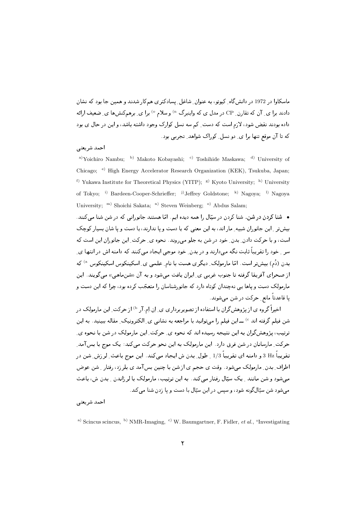ماسکاوا در 1972 در دانش2اه ِ کیوتو، به عنوان ِ شاغل ِ پسادکتری همکار شدند و همین جا بود که نشان دادند ہرا ی ِ آن که تقارن ِ CP در مدل ی که واینبرگ ") و سلام ° ہرا ی ِ برهمکنشها ی ِ ضعیف ارائه . د کال د لار است د است ای در کرد و برای این متوانی ای برای این متوانی این این متوانی این متوانی این این متوان ے۔ یہ سونے پر اپنے کو نسل کوراٹ سواسط نہیں ہوتا

## احمد شريعتي

<sup>a)</sup>Yoichiro Nambu; <sup>b)</sup> Makoto Kobayashi; <sup>c)</sup> Toshihide Maskawa; <sup>d)</sup> University of Chicago; e) High Energy Accelerator Research Organization (KEK), Tsukuba, Japan; f) Yukawa Institute for Theoretical Physics (YITP); <sup>g)</sup> Kyoto University; <sup>h)</sup> University of Tokyo; i) Bardeen-Cooper-Schrieffer; j)Jeffrey Goldstone; k) Nagoya; l) Nagoya University; m) Shoichi Sakata; n) Steven Weinberg; <sup>o)</sup> Abdus Salam;

● شنا کردن در شن. شنا کردن در سیّال را همه دیده ایم. امّا هستند جانورانی که در شن شنا میکنند. **Contract Contract Contract Contract Contract Contract Contract Contract Contract Contract Contract Contract Contract Contract Contract Contract Contract Contract Contract Contract Contract Contract Contract Contract Contr** 4# 2- -- -,; - 2 -,; - (D &
 2-  -2 -% & "/ ، شخص وبه شرفات بالبارج بسال به شخص البارد المالي والمستقبل الموقع التي تسترفات المستقبل المستقبل المستقبل المستقبل سر - عود را شریب تابیت تابه می دارند و در شدن- عود موجبی اینجاد می تشده به دامهه اش در انگلها ای ہدن (دُم) بیش تر است. امّا مارمولک ِ دیگری هست با نام ِ علمی ی ِ اِسکینکوس اسکینکوس <sup>۵)</sup> که ل المستردي التربية التربية التربية التي التران يعتب التي شرب و بعد ان «السن» التي التي التي التي التي التي الت ; &
 "# " JPQ D 2 -- -(2 -% 2 -/ -(# 
-)-,; 4?2- ی تاخیص میں سر بنان میں میں سودے

اخیرا گروه ی از پژوهشگران با استفاده از تصویربرداری ی ِ اِن اِم.آر <sup>b)</sup> از حرکت ِ این مارمولک در شن فیلم گرفته اند ° ) ـــ این فیلم را می توانید با مراجعه به نشانی ی\_ الکترونیک\_ مقاله ببینید. به این H - & 2 4? 2- & ;"I H 2 P &
 -" )+, J /" / سرعت مرسوبا بن در سن عربی در این مرتبت به این عموم علوم علاقی از این است و عموم است. تقريبا Bz 3 و دامنه اي تقريبا 1/3 \_ طول ِ بدن ش ايجاد مي كند. اين موج باعث ِ لرزش ِ شن در در اختراجی بیتان میروست کیم میتون اوست کی خوبیم کی از کش به چندین بسن است کی بیتر زیبا رشد را میتون خواهن سی سود و سن ماننده و پاک سپان رشد را می شد، ابته این فرنینب، مارموناک با فرزانشان و بامان من، با کشک سی سوء سی سین کوت- سوء از سپس در این سین با دست و پا ردن سد سی مده

أحمد شريعتي

a) Scincus scincus, b) NMR-Imaging, c) W. Baumgartner, F. Fidler, *et al.*, "Investigating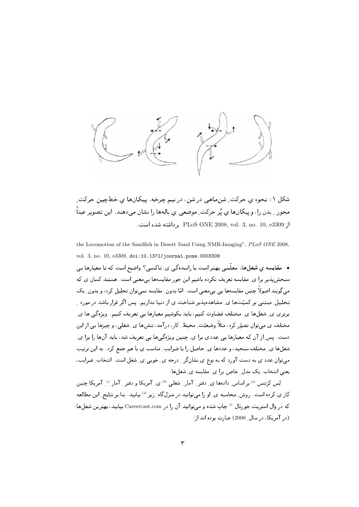

شکل ۱: نحوه ي حرکت ِ شنماهي در شن، در نيم چرخه. پيکانها ي خطچين حرکت ِ محور ِ بدن را، وييكانها ي يُر حركت ِ موضعي ي بالهها را نشان مي‹هند. اين تصوير عيناً از PLoS ONE 2008, vol. 3, no. 10, e3309 برداشته شده است.

the Locomotion of the Sandfish in Desert Sand Using NMR-Imaging", PLoS ONE 2008, vol. 3, no. 10, e3309, doi:10.1371/journal.pone.0003309

• مقایسه ی شغا<sub>ی</sub>ها. معلّمی بهتر است یا رانندهگی ی ِ تاکسی؟ واضح است که تا معیارها یبی سنجش پذیر برا ی ِ مقایسه تعریف نکرده باشیم این جور مقایسهها بی معنی است. هستند کسان ی که می گویند اصولاً چنین مقایسهها یی بی معنی است. امّا بدون ِ مقایسه نمی توان تحلیل کرد، و بدون ِ یک تحلیل ِ مبتنی بر کمیّتها ی ِ مشاهدهپذیر شناخت ی از دنیا نداریم. پس اگر قرار باشد در مورد ِ برتری ی ِ شغلها ی ِ مختلف قضاوت کنیم، باید بکوشیم معیارها یی تعریف کنیم. ویژهگی ها ی ِ مختلف ی میتوان تصوّر کرد، مثلاً وضعیّت ِ محیط ِ کار، درآمد، تنشها ی ِ شغلی، و چیزها پی از این دست. پس از آن که معیارها یی عددی برا ی ِ چنین ویژهگیها یی تعریف شد، باید آنها را برا ی ِ شغلها ی ِ مختلف سنجید، و عددها ی ِ حاصل را با ضرایب ِ مناسب ی با هم جمع کرد. به این ترتیب میتوان عدد ی به دست آورد که به نوع ی نشانگر <sub>-</sub> درجه ی ِ خوبی ی ِ شغل است. انتخاب ِ ضرایب، یعنی انتخاب ِ یک مدل ِ خاص برا ی ِ مقایسه ی ِ شغلها .

لِس کرَنتس <sup>a)</sup> بر اساس ِ دادہھا ی ِ دفتر ِ آمار ِ شغلی <sup>b)</sup> ی ِ آمریکا و دفتر ِ آمار <sup>c)</sup> ِ آمریکا چنین کار ی کرده است. روش ِ محاسبه ی ِ او را میتوانید در منزلگاه ِ زیر <sup>d)</sup> بیابید. بنا بر نتایج ِ این مطالعه كه در وال استريت جورنال <sup>6</sup> چاپ شده و مىتوانيد آن را در Careercast.com بيابيد، بهترين شغلها (در آمریکا، در سال 2008) عبارت بوده اند از: